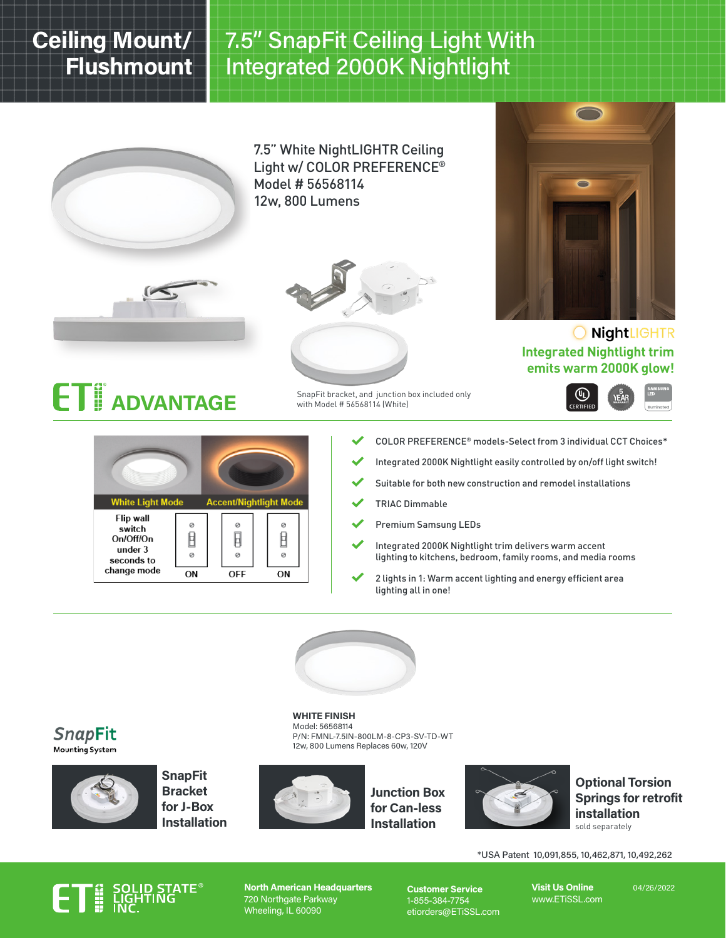# Ceiling Mount/ **Flushmount**

# 7.5" SnapFit Ceiling Light With Integrated 2000K Nightlight



7.5" White NightLIGHTR Ceiling Light w/ COLOR PREFERENCE® Model # 56568114 12w, 800 Lumens



ET ADVANTAGE



SnapFit bracket, and junction box included only with Model # 56568114 (White)



**NightLIGHTR Integrated Nightlight trim emits warm 2000K glow!**





- COLOR PREFERENCE® models-Select from 3 individual CCT Choices\*
- Integrated 2000K Nightlight easily controlled by on/off light switch!
- Suitable for both new construction and remodel installations
- TRIAC Dimmable
- Premium Samsung LEDs
- Integrated 2000K Nightlight trim delivers warm accent lighting to kitchens, bedroom, family rooms, and media rooms
- 2 lights in 1: Warm accent lighting and energy efficient area lighting all in one!



WHITE FINISH Model: 56568114 P/N: FMNL-7.5IN-800LM-8-CP3-SV-TD-WT 12w, 800 Lumens Replaces 60w, 120V



**SnapFit** Mounting System

> **SnapFit Bracket** for J-Box Installation



Junction Box for Can-less Installation



Optional Torsion Springs for retrofit installation sold separately

\*USA Patent 10,091,855, 10,462,871, 10,492,262



North American Headquarters 720 Northgate Parkway Wheeling, IL 60090

Customer Service 1-855-384-7754 etiorders@ETiSSL.com Visit Us Online www.ETiSSL.com 04/26/2022